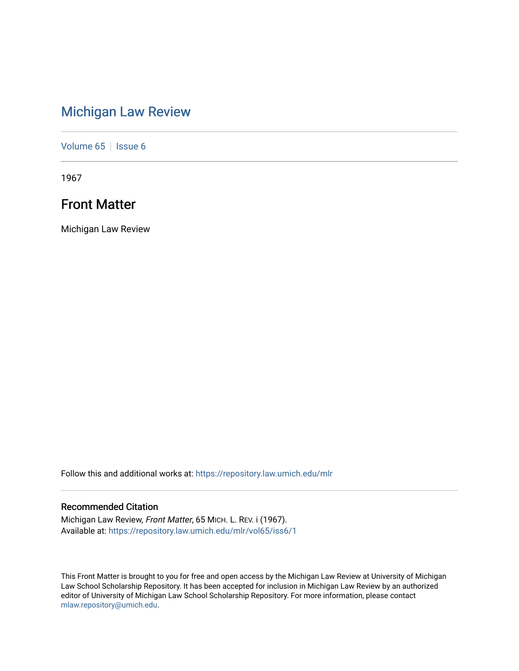## [Michigan Law Review](https://repository.law.umich.edu/mlr)

[Volume 65](https://repository.law.umich.edu/mlr/vol65) | [Issue 6](https://repository.law.umich.edu/mlr/vol65/iss6)

1967

## Front Matter

Michigan Law Review

Follow this and additional works at: [https://repository.law.umich.edu/mlr](https://repository.law.umich.edu/mlr?utm_source=repository.law.umich.edu%2Fmlr%2Fvol65%2Fiss6%2F1&utm_medium=PDF&utm_campaign=PDFCoverPages) 

### Recommended Citation

Michigan Law Review, Front Matter, 65 MICH. L. REV. i (1967). Available at: [https://repository.law.umich.edu/mlr/vol65/iss6/1](https://repository.law.umich.edu/mlr/vol65/iss6/1?utm_source=repository.law.umich.edu%2Fmlr%2Fvol65%2Fiss6%2F1&utm_medium=PDF&utm_campaign=PDFCoverPages)

This Front Matter is brought to you for free and open access by the Michigan Law Review at University of Michigan Law School Scholarship Repository. It has been accepted for inclusion in Michigan Law Review by an authorized editor of University of Michigan Law School Scholarship Repository. For more information, please contact [mlaw.repository@umich.edu.](mailto:mlaw.repository@umich.edu)